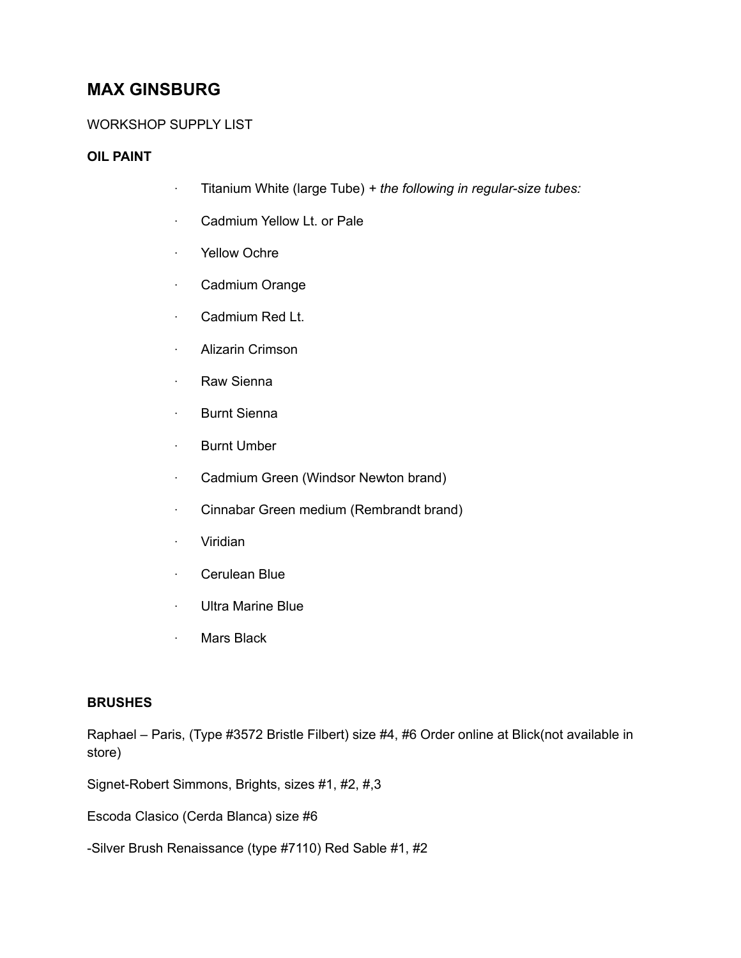# **MAX GINSBURG**

# WORKSHOP SUPPLY LIST

## **OIL PAINT**

- · Titanium White (large Tube) *+ the following in regular-size tubes:*
- · Cadmium Yellow Lt. or Pale
- · Yellow Ochre
- · Cadmium Orange
- · Cadmium Red Lt.
- · Alizarin Crimson
- · Raw Sienna
- · Burnt Sienna
- · Burnt Umber
- · Cadmium Green (Windsor Newton brand)
- · Cinnabar Green medium (Rembrandt brand)
- · Viridian
- · Cerulean Blue
- · Ultra Marine Blue
- · Mars Black

## **BRUSHES**

Raphael – Paris, (Type #3572 Bristle Filbert) size #4, #6 Order online at Blick(not available in store)

Signet-Robert Simmons, Brights, sizes #1, #2, #,3

Escoda Clasico (Cerda Blanca) size #6

-Silver Brush Renaissance (type #7110) Red Sable #1, #2